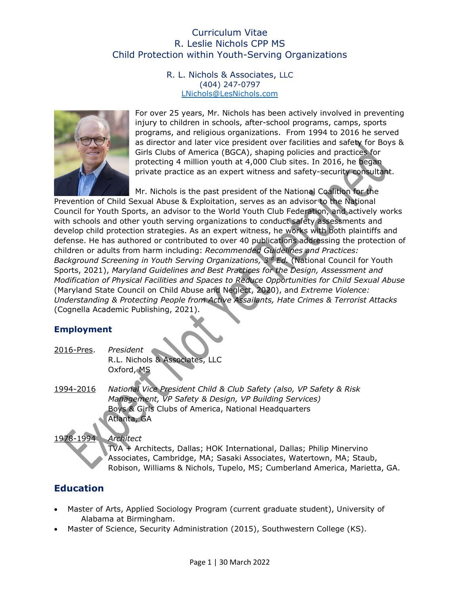R. L. Nichols & Associates, LLC (404) 247-0797 [LNichols@LesNichols.com](mailto:LNichols@LesNichols.com) 



For over 25 years, Mr. Nichols has been actively involved in preventing injury to children in schools, after-school programs, camps, sports programs, and religious organizations. From 1994 to 2016 he served as director and later vice president over facilities and safety for Boys & Girls Clubs of America (BGCA), shaping policies and practices for protecting 4 million youth at 4,000 Club sites. In 2016, he began private practice as an expert witness and safety-security consultant.

Mr. Nichols is the past president of the National Coalition for the

Prevention of Child Sexual Abuse & Exploitation, serves as an advisor to the National Council for Youth Sports, an advisor to the World Youth Club Federation, and actively works with schools and other youth serving organizations to conduct safety assessments and develop child protection strategies. As an expert witness, he works with both plaintiffs and defense. He has authored or contributed to over 40 publications addressing the protection of children or adults from harm including: *Recommended Guidelines and Practices: Background Screening in Youth Serving Organizations, 3rd Ed.* (National Council for Youth Sports, 2021), *Maryland Guidelines and Best Practices for the Design, Assessment and Modification of Physical Facilities and Spaces to Reduce Opportunities for Child Sexual Abuse* (Maryland State Council on Child Abuse and Neglect, 2020), and *Extreme Violence: Understanding & Protecting People from Active Assailants, Hate Crimes & Terrorist Attacks* (Cognella Academic Publishing, 2021).

## **Employment**

2016-Pres. *President* R.L. Nichols & Associates, LLC Oxford, MS

1994-2016 *National Vice President Child & Club Safety (also, VP Safety & Risk Management, VP Safety & Design, VP Building Services)* Boys & Girls Clubs of America, National Headquarters Atlanta, GA

#### 1978-1994 *Architect*

TVA + Architects, Dallas; HOK International, Dallas; Philip Minervino Associates, Cambridge, MA; Sasaki Associates, Watertown, MA; Staub, Robison, Williams & Nichols, Tupelo, MS; Cumberland America, Marietta, GA.

## **Education**

- Master of Arts, Applied Sociology Program (current graduate student), University of Alabama at Birmingham.
- Master of Science, Security Administration (2015), Southwestern College (KS).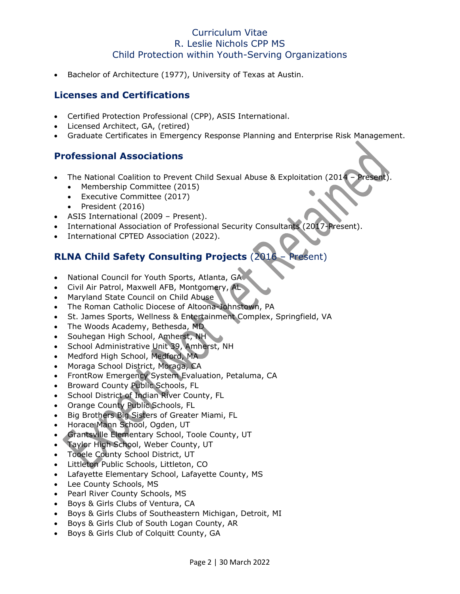• Bachelor of Architecture (1977), University of Texas at Austin.

## **Licenses and Certifications**

- Certified Protection Professional (CPP), ASIS International.
- Licensed Architect, GA, (retired)
- Graduate Certificates in Emergency Response Planning and Enterprise Risk Management.

## **Professional Associations**

- The National Coalition to Prevent Child Sexual Abuse & Exploitation (2014
	- Membership Committee (2015)
	- Executive Committee (2017)
	- President (2016)
- ASIS International (2009 Present).
- International Association of Professional Security Consultants (2017-Present).
- International CPTED Association (2022).

# **RLNA Child Safety Consulting Projects** (2016 – Present)

- National Council for Youth Sports, Atlanta, GA
- Civil Air Patrol, Maxwell AFB, Montgomery, AL
- Maryland State Council on Child Abuse
- The Roman Catholic Diocese of Altoona-Johnstown, PA
- St. James Sports, Wellness & Entertainment Complex, Springfield, VA
- The Woods Academy, Bethesda, MD
- Souhegan High School, Amherst, NH
- School Administrative Unit 39, Amherst, NH
- Medford High School, Medford, MA
- Moraga School District, Moraga, CA
- FrontRow Emergency System Evaluation, Petaluma, CA
- Broward County Public Schools, FL
- School District of Indian River County, FL
- Orange County Public Schools, FL
- Big Brothers Big Sisters of Greater Miami, FL
- Horace Mann School, Ogden, UT
- Grantsville Elementary School, Toole County, UT
- Taylor High School, Weber County, UT
- Tooele County School District, UT
- Littleton Public Schools, Littleton, CO
- Lafayette Elementary School, Lafayette County, MS
- Lee County Schools, MS
- Pearl River County Schools, MS
- Boys & Girls Clubs of Ventura, CA
- Boys & Girls Clubs of Southeastern Michigan, Detroit, MI
- Boys & Girls Club of South Logan County, AR
- Boys & Girls Club of Colquitt County, GA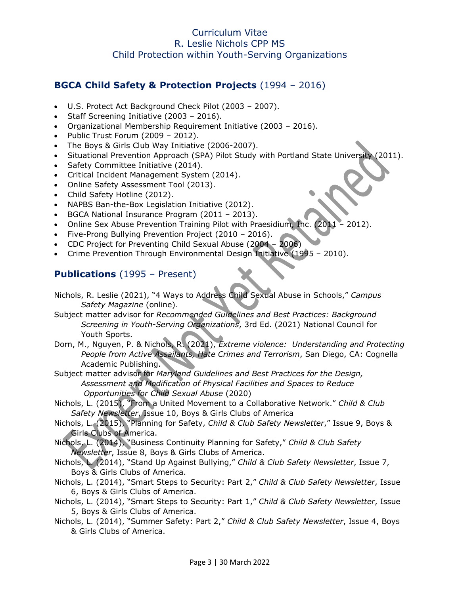## **BGCA Child Safety & Protection Projects** (1994 – 2016)

- U.S. Protect Act Background Check Pilot (2003 2007).
- Staff Screening Initiative (2003 2016).
- Organizational Membership Requirement Initiative (2003 2016).
- Public Trust Forum (2009 2012).
- The Boys & Girls Club Way Initiative (2006-2007).
- Situational Prevention Approach (SPA) Pilot Study with Portland State University (2011).
- Safety Committee Initiative (2014).
- Critical Incident Management System (2014).
- Online Safety Assessment Tool (2013).
- Child Safety Hotline (2012).
- NAPBS Ban-the-Box Legislation Initiative (2012).
- BGCA National Insurance Program (2011 2013).
- Online Sex Abuse Prevention Training Pilot with Praesidium, Inc. (2011 2012).
- Five-Prong Bullying Prevention Project (2010 2016).
- CDC Project for Preventing Child Sexual Abuse (2004 2006)
- Crime Prevention Through Environmental Design Initiative (1995 2010).

## **Publications** (1995 – Present)

- Nichols, R. Leslie (2021), "4 Ways to Address Child Sexual Abuse in Schools," *Campus Safety Magazine* (online).
- Subject matter advisor for *Recommended Guidelines and Best Practices: Background Screening in Youth-Serving Organizations*, 3rd Ed. (2021) National Council for Youth Sports.
- Dorn, M., Nguyen, P. & Nichols, R. (2021), *Extreme violence: Understanding and Protecting People from Active Assailants, Hate Crimes and Terrorism*, San Diego, CA: Cognella Academic Publishing.
- Subject matter advisor for *Maryland Guidelines and Best Practices for the Design, Assessment and Modification of Physical Facilities and Spaces to Reduce Opportunities for Child Sexual Abuse* (2020)
- Nichols, L. (2015), "From a United Movement to a Collaborative Network." *Child & Club Safety Newsletter*, Issue 10, Boys & Girls Clubs of America
- Nichols, L. (2015), "Planning for Safety, *Child & Club Safety Newsletter*," Issue 9, Boys & Girls Clubs of America.
- Nichols, L. (2014), "Business Continuity Planning for Safety," *Child & Club Safety Newsletter*, Issue 8, Boys & Girls Clubs of America.
- Nichols, L. (2014), "Stand Up Against Bullying," *Child & Club Safety Newsletter*, Issue 7, Boys & Girls Clubs of America.
- Nichols, L. (2014), "Smart Steps to Security: Part 2," *Child & Club Safety Newsletter*, Issue 6, Boys & Girls Clubs of America.
- Nichols, L. (2014), "Smart Steps to Security: Part 1," *Child & Club Safety Newsletter*, Issue 5, Boys & Girls Clubs of America.
- Nichols, L. (2014), "Summer Safety: Part 2," *Child & Club Safety Newsletter*, Issue 4, Boys & Girls Clubs of America.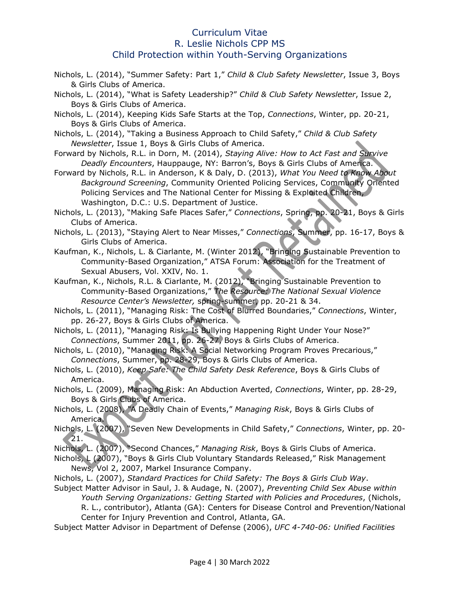- Nichols, L. (2014), "Summer Safety: Part 1," *Child & Club Safety Newsletter*, Issue 3, Boys & Girls Clubs of America.
- Nichols, L. (2014), "What is Safety Leadership?" *Child & Club Safety Newsletter*, Issue 2, Boys & Girls Clubs of America.
- Nichols, L. (2014), Keeping Kids Safe Starts at the Top, *Connections*, Winter, pp. 20-21, Boys & Girls Clubs of America.
- Nichols, L. (2014), "Taking a Business Approach to Child Safety," *Child & Club Safety Newsletter*, Issue 1, Boys & Girls Clubs of America.
- Forward by Nichols, R.L. in Dorn, M. (2014), *Staying Alive: How to Act Fast and Survive Deadly Encounters*, Hauppauge, NY: Barron's, Boys & Girls Clubs of America.
- Forward by Nichols, R.L. in Anderson, K & Daly, D. (2013), *What You Need to Know About Background Screening*, Community Oriented Policing Services, Community Oriented Policing Services and The National Center for Missing & Exploited Children, Washington, D.C.: U.S. Department of Justice.
- Nichols, L. (2013), "Making Safe Places Safer," *Connections*, Spring, pp. 20-21, Boys & Girls Clubs of America.
- Nichols, L. (2013), "Staying Alert to Near Misses," *Connections*, Summer, pp. 16-17, Boys & Girls Clubs of America.
- Kaufman, K., Nichols, L. & Ciarlante, M. (Winter 2012), "Bringing Sustainable Prevention to Community-Based Organization," ATSA Forum: Association for the Treatment of Sexual Abusers, Vol. XXIV, No. 1.
- Kaufman, K., Nichols, R.L. & Ciarlante, M. (2012), "Bringing Sustainable Prevention to Community-Based Organizations," *The Resource: The National Sexual Violence Resource Center's Newsletter,* spring-summer, pp. 20-21 & 34.
- Nichols, L. (2011), "Managing Risk: The Cost of Blurred Boundaries," *Connections*, Winter, pp. 26-27, Boys & Girls Clubs of America.
- Nichols, L. (2011), "Managing Risk: Is Bullying Happening Right Under Your Nose?" *Connections*, Summer 2011, pp. 26-27, Boys & Girls Clubs of America.
- Nichols, L. (2010), "Managing Risk: A Social Networking Program Proves Precarious," *Connections*, Summer, pp. 28-29, Boys & Girls Clubs of America.
- Nichols, L. (2010), *Keep Safe: The Child Safety Desk Reference*, Boys & Girls Clubs of America.
- Nichols, L. (2009), Managing Risk: An Abduction Averted, *Connections*, Winter, pp. 28-29, Boys & Girls Clubs of America.
- Nichols, L. (2008), *"*A Deadly Chain of Events," *Managing Risk*, Boys & Girls Clubs of America.
- Nichols, L. (2007), "Seven New Developments in Child Safety," *Connections*, Winter, pp. 20- 21.
- Nichols, L. (2007), "Second Chances," *Managing Risk*, Boys & Girls Clubs of America.
- Nichols, L (2007), "Boys & Girls Club Voluntary Standards Released," Risk Management News, Vol 2, 2007, Markel Insurance Company.
- Nichols, L. (2007), *Standard Practices for Child Safety: The Boys & Girls Club Way*.
- Subject Matter Advisor in Saul, J. & Audage, N. (2007), *Preventing Child Sex Abuse within Youth Serving Organizations: Getting Started with Policies and Procedures*, (Nichols, R. L., contributor), Atlanta (GA): Centers for Disease Control and Prevention/National Center for Injury Prevention and Control, Atlanta, GA.

Subject Matter Advisor in Department of Defense (2006), *UFC 4-740-06: Unified Facilities*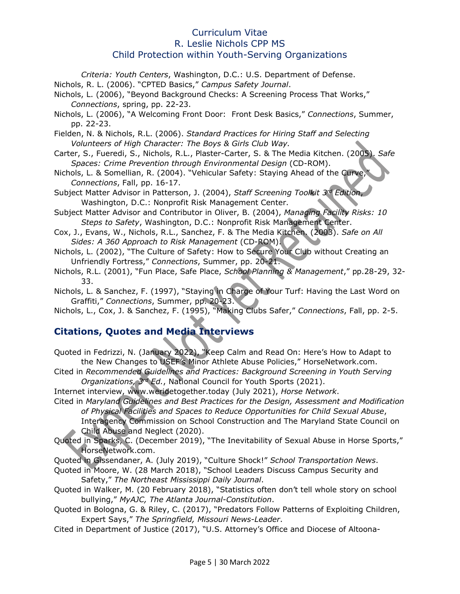*Criteria: Youth Centers*, Washington, D.C.: U.S. Department of Defense. Nichols, R. L. (2006). "CPTED Basics," *Campus Safety Journal*.

- Nichols, L. (2006), "Beyond Background Checks: A Screening Process That Works," *Connections*, spring, pp. 22-23.
- Nichols, L. (2006), "A Welcoming Front Door: Front Desk Basics," *Connections*, Summer, pp. 22-23.
- Fielden, N. & Nichols, R.L. (2006). *Standard Practices for Hiring Staff and Selecting Volunteers of High Character: The Boys & Girls Club Way.*
- Carter, S., Fueredi, S., Nichols, R.L., Plaster-Carter, S. & The Media Kitchen. (2005). *Safe Spaces: Crime Prevention through Environmental Design* (CD-ROM).
- Nichols, L. & Somellian, R. (2004). "Vehicular Safety: Staying Ahead of the Curve, *Connections*, Fall, pp. 16-17.
- Subject Matter Advisor in Patterson, J. (2004), *Staff Screening Toolkit 3rd Edition*, Washington, D.C.: Nonprofit Risk Management Center.
- Subject Matter Advisor and Contributor in Oliver, B. (2004), *Managing Facility Risks: 10 Steps to Safety*, Washington, D.C.: Nonprofit Risk Management Center.
- Cox, J., Evans, W., Nichols, R.L., Sanchez, F. & The Media Kitchen. (2003). *Safe on All Sides: A 360 Approach to Risk Management* (CD-ROM).
- Nichols, L. (2002), "The Culture of Safety: How to Secure Your Club without Creating an Unfriendly Fortress," *Connections*, Summer, pp. 20-21.
- Nichols, R.L. (2001), "Fun Place, Safe Place, *School Planning & Management*," pp.28-29, 32- 33.
- Nichols, L. & Sanchez, F. (1997), "Staying in Charge of Your Turf: Having the Last Word on Graffiti," *Connections*, Summer, pp. 20-23.
- Nichols, L., Cox, J. & Sanchez, F. (1995), "Making Clubs Safer," *Connections*, Fall, pp. 2-5.

# **Citations, Quotes and Media Interviews**

Quoted in Fedrizzi, N. (January 2022), "Keep Calm and Read On: Here's How to Adapt to the New Changes to USEF's Minor Athlete Abuse Policies," HorseNetwork.com.

Cited in *Recommended Guidelines and Practices: Background Screening in Youth Serving Organizations, 3rd Ed.*, National Council for Youth Sports (2021).

Internet interview, www.weridetogether.today (July 2021), *Horse Network*. Cited in *Maryland Guidelines and Best Practices for the Design, Assessment and Modification of Physical Facilities and Spaces to Reduce Opportunities for Child Sexual Abuse*, Interagency Commission on School Construction and The Maryland State Council on Child Abuse and Neglect (2020).

Quoted in Sparks, C. (December 2019), "The Inevitability of Sexual Abuse in Horse Sports," [HorseNetwork.com.](http://www.horsenetwork.com/)

Quoted in Gissendaner, A. (July 2019), "Culture Shock!" *School Transportation News*.

- Quoted in Moore, W. (28 March 2018), "School Leaders Discuss Campus Security and Safety," *The Northeast Mississippi Daily Journal*.
- Quoted in Walker, M. (20 February 2018), "Statistics often don't tell whole story on school bullying," *MyAJC, The Atlanta Journal-Constitution*.
- Quoted in Bologna, G. & Riley, C. (2017), "Predators Follow Patterns of Exploiting Children, Expert Says," *The Springfield, Missouri News-Leader*.
- Cited in Department of Justice (2017), "U.S. Attorney's Office and Diocese of Altoona-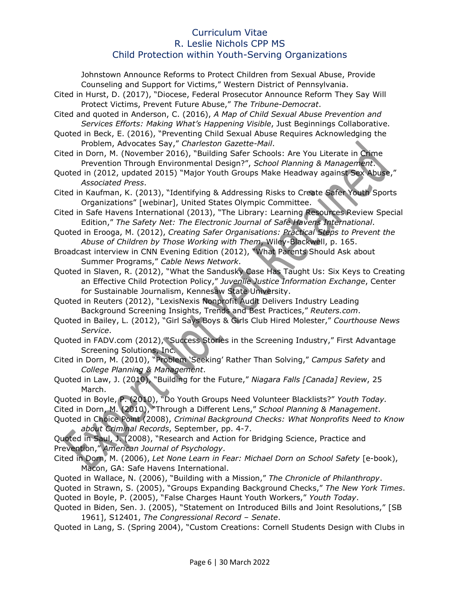Johnstown Announce Reforms to Protect Children from Sexual Abuse, Provide Counseling and Support for Victims," Western District of Pennsylvania.

- Cited in Hurst, D. (2017), "Diocese, Federal Prosecutor Announce Reform They Say Will Protect Victims, Prevent Future Abuse," *The Tribune-Democrat*.
- Cited and quoted in Anderson, C. (2016), *A Map of Child Sexual Abuse Prevention and Services Efforts: Making What's Happening Visible*, Just Beginnings Collaborative.
- Quoted in Beck, E. (2016), "Preventing Child Sexual Abuse Requires Acknowledging the Problem, Advocates Say," *Charleston Gazette-Mail*.
- Cited in Dorn, M. (November 2016), "Building Safer Schools: Are You Literate in Crime Prevention Through Environmental Design?", *School Planning & Management*.
- Quoted in (2012, updated 2015) "Major Youth Groups Make Headway against Sex Abuse," *Associated Press*.
- Cited in Kaufman, K. (2013), "Identifying & Addressing Risks to Create Safer Youth Sports Organizations" [webinar], United States Olympic Committee.
- Cited in Safe Havens International (2013), "The Library: Learning Resources Review Special Edition," *The Safety Net: The Electronic Journal of Safe Havens International*.
- Quoted in Erooga, M. (2012), *Creating Safer Organisations: Practical Steps to Prevent the Abuse of Children by Those Working with Them*, Wiley-Blackwell, p. 165.
- Broadcast interview in CNN Evening Edition (2012), "What Parents Should Ask about Summer Programs," *Cable News Network*.
- Quoted in Slaven, R. (2012), "What the Sandusky Case Has Taught Us: Six Keys to Creating an Effective Child Protection Policy," *Juvenile Justice Information Exchange*, Center for Sustainable Journalism, Kennesaw State University.
- Quoted in Reuters (2012), "LexisNexis Nonprofit Audit Delivers Industry Leading Background Screening Insights, Trends and Best Practices," *Reuters.com*.
- Quoted in Bailey, L. (2012), "Girl Says Boys & Girls Club Hired Molester," *Courthouse News Service*.
- Quoted in FADV.com (2012), "Success Stories in the Screening Industry," First Advantage Screening Solutions, Inc.
- Cited in Dorn, M. (2010), "Problem 'Seeking' Rather Than Solving," *Campus Safety* and *College Planning & Management*.
- Quoted in Law, J. (2010), "Building for the Future," *Niagara Falls [Canada] Review*, 25 March.
- Quoted in Boyle, P. (2010), "Do Youth Groups Need Volunteer Blacklists?" *Youth Today.* Cited in Dorn, M. (2010), "Through a Different Lens," *School Planning & Management*.
- Quoted in Choice Point (2008), *Criminal Background Checks: What Nonprofits Need to Know about Criminal Records*, September, pp. 4-7.

Quoted in Saul, J. (2008), "Research and Action for Bridging Science, Practice and Prevention," *American Journal of Psychology*.

Cited in Dorn, M. (2006), *Let None Learn in Fear: Michael Dorn on School Safety* [e-book), Macon, GA: Safe Havens International.

Quoted in Wallace, N. (2006), "Building with a Mission," *The Chronicle of Philanthropy*. Quoted in Strawn, S. (2005), "Groups Expanding Background Checks," *The New York Times*. Quoted in Boyle, P. (2005), "False Charges Haunt Youth Workers," *Youth Today*.

Quoted in Biden, Sen. J. (2005), "Statement on Introduced Bills and Joint Resolutions," [SB 1961], S12401, *The Congressional Record – Senate*.

Quoted in Lang, S. (Spring 2004), "Custom Creations: Cornell Students Design with Clubs in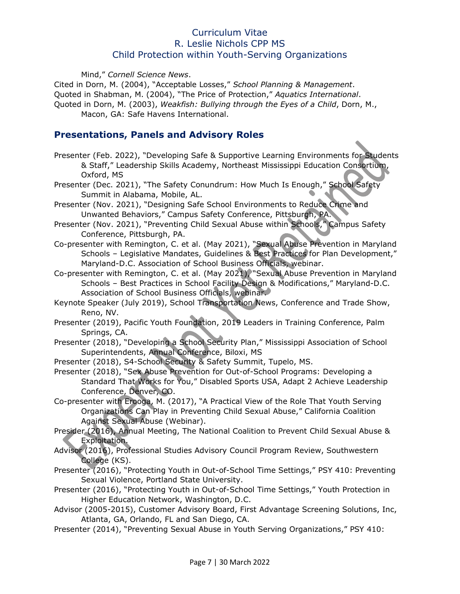Mind," *Cornell Science News*.

Cited in Dorn, M. (2004), "Acceptable Losses," *School Planning & Management*. Quoted in Shabman, M. (2004), "The Price of Protection," *Aquatics International*.

Quoted in Dorn, M. (2003), *Weakfish: Bullying through the Eyes of a Child*, Dorn, M., Macon, GA: Safe Havens International.

### **Presentations, Panels and Advisory Roles**

Presenter (Feb. 2022), "Developing Safe & Supportive Learning Environments for Students & Staff," Leadership Skills Academy, Northeast Mississippi Education Consortium, Oxford, MS

Presenter (Dec. 2021), "The Safety Conundrum: How Much Is Enough," School Safety Summit in Alabama, Mobile, AL.

- Presenter (Nov. 2021), "Designing Safe School Environments to Reduce Crime and Unwanted Behaviors," Campus Safety Conference, Pittsburgh, PA.
- Presenter (Nov. 2021), "Preventing Child Sexual Abuse within Schools," Campus Safety Conference, Pittsburgh, PA.
- Co-presenter with Remington, C. et al. (May 2021), "Sexual Abuse Prevention in Maryland Schools – Legislative Mandates, Guidelines & Best Practices for Plan Development," Maryland-D.C. Association of School Business Officials, webinar.
- Co-presenter with Remington, C. et al. (May 2021), "Sexual Abuse Prevention in Maryland Schools – Best Practices in School Facility Design & Modifications," Maryland-D.C. Association of School Business Officials, webinar.
- Keynote Speaker (July 2019), School Transportation News, Conference and Trade Show, Reno, NV.
- Presenter (2019), Pacific Youth Foundation, 2019 Leaders in Training Conference, Palm Springs, CA.
- Presenter (2018), "Developing a School Security Plan," Mississippi Association of School Superintendents, Annual Conference, Biloxi, MS
- Presenter (2018), S4-School Security & Safety Summit, Tupelo, MS.
- Presenter (2018), "Sex Abuse Prevention for Out-of-School Programs: Developing a Standard That Works for You," Disabled Sports USA, Adapt 2 Achieve Leadership Conference, Denver, CO.
- Co-presenter with Erooga, M. (2017), "A Practical View of the Role That Youth Serving Organizations Can Play in Preventing Child Sexual Abuse," California Coalition Against Sexual Abuse (Webinar).
- Presider (2016), Annual Meeting, The National Coalition to Prevent Child Sexual Abuse & Exploitation.
- Advisor (2016), Professional Studies Advisory Council Program Review, Southwestern College (KS).
- Presenter (2016), "Protecting Youth in Out-of-School Time Settings," PSY 410: Preventing Sexual Violence, Portland State University.
- Presenter (2016), "Protecting Youth in Out-of-School Time Settings," Youth Protection in Higher Education Network, Washington, D.C.
- Advisor (2005-2015), Customer Advisory Board, First Advantage Screening Solutions, Inc, Atlanta, GA, Orlando, FL and San Diego, CA.
- Presenter (2014), "Preventing Sexual Abuse in Youth Serving Organizations," PSY 410: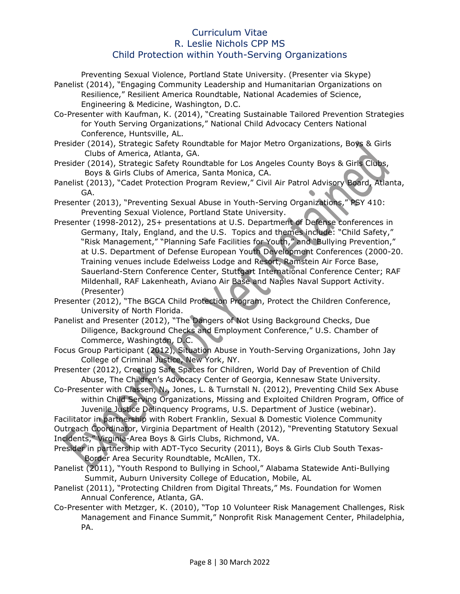Preventing Sexual Violence, Portland State University. (Presenter via Skype) Panelist (2014), "Engaging Community Leadership and Humanitarian Organizations on Resilience," Resilient America Roundtable, National Academies of Science, Engineering & Medicine, Washington, D.C. Co-Presenter with Kaufman, K. (2014), "Creating Sustainable Tailored Prevention Strategies for Youth Serving Organizations," National Child Advocacy Centers National Conference, Huntsville, AL. Presider (2014), Strategic Safety Roundtable for Major Metro Organizations, Boys & Girls Clubs of America, Atlanta, GA. Presider (2014), Strategic Safety Roundtable for Los Angeles County Boys & Girls Clubs, Boys & Girls Clubs of America, Santa Monica, CA. Panelist (2013), "Cadet Protection Program Review," Civil Air Patrol Advisory Board, Atlanta, GA. Presenter (2013), "Preventing Sexual Abuse in Youth-Serving Organizations," PSY 410: Preventing Sexual Violence, Portland State University. Presenter (1998-2012), 25+ presentations at U.S. Department of Defense conferences in Germany, Italy, England, and the U.S. Topics and themes include: "Child Safety," "Risk Management," "Planning Safe Facilities for Youth," and "Bullying Prevention," at U.S. Department of Defense European Youth Development Conferences (2000-20. Training venues include Edelweiss Lodge and Resort, Ramstein Air Force Base, Sauerland-Stern Conference Center, Stuttgart International Conference Center; RAF

Mildenhall, RAF Lakenheath, Aviano Air Base and Naples Naval Support Activity. (Presenter)

Presenter (2012), "The BGCA Child Protection Program, Protect the Children Conference, University of North Florida.

- Panelist and Presenter (2012), "The Dangers of Not Using Background Checks, Due Diligence, Background Checks and Employment Conference," U.S. Chamber of Commerce, Washington, D.C.
- Focus Group Participant (2012), Situation Abuse in Youth-Serving Organizations, John Jay College of Criminal Justice, New York, NY.
- Presenter (2012), Creating Safe Spaces for Children, World Day of Prevention of Child Abuse, The Children's Advocacy Center of Georgia, Kennesaw State University.

Co-Presenter with Classen, N., Jones, L. & Turnstall N. (2012), Preventing Child Sex Abuse within Child Serving Organizations, Missing and Exploited Children Program, Office of Juvenile Justice Delinquency Programs, U.S. Department of Justice (webinar).

Facilitator in partnership with Robert Franklin, Sexual & Domestic Violence Community Outreach Coordinator, Virginia Department of Health (2012), "Preventing Statutory Sexual Incidents," Virginia-Area Boys & Girls Clubs, Richmond, VA.

- Presider in partnership with ADT-Tyco Security (2011), Boys & Girls Club South Texas-Border Area Security Roundtable, McAllen, TX.
- Panelist (2011), "Youth Respond to Bullying in School," Alabama Statewide Anti-Bullying Summit, Auburn University College of Education, Mobile, AL
- Panelist (2011), "Protecting Children from Digital Threats," Ms. Foundation for Women Annual Conference, Atlanta, GA.
- Co-Presenter with Metzger, K. (2010), "Top 10 Volunteer Risk Management Challenges, Risk Management and Finance Summit," Nonprofit Risk Management Center, Philadelphia, PA.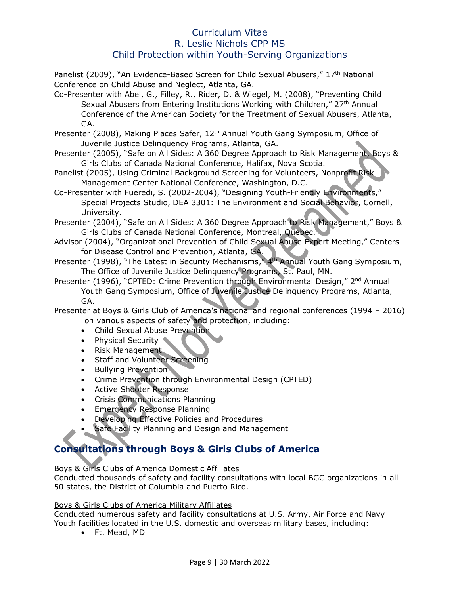Panelist (2009), "An Evidence-Based Screen for Child Sexual Abusers," 17<sup>th</sup> National Conference on Child Abuse and Neglect, Atlanta, GA.

Co-Presenter with Abel, G., Filley, R., Rider, D. & Wiegel, M. (2008), "Preventing Child Sexual Abusers from Entering Institutions Working with Children," 27<sup>th</sup> Annual Conference of the American Society for the Treatment of Sexual Abusers, Atlanta, GA.

- Presenter (2008), Making Places Safer, 12<sup>th</sup> Annual Youth Gang Symposium, Office of Juvenile Justice Delinquency Programs, Atlanta, GA.
- Presenter (2005), "Safe on All Sides: A 360 Degree Approach to Risk Management, Boys & Girls Clubs of Canada National Conference, Halifax, Nova Scotia.
- Panelist (2005), Using Criminal Background Screening for Volunteers, Nonprofit Risk Management Center National Conference, Washington, D.C.
- Co-Presenter with Fueredi, S. (2002-2004), "Designing Youth-Friendly Environments," Special Projects Studio, DEA 3301: The Environment and Social Behavior, Cornell, University.
- Presenter (2004), "Safe on All Sides: A 360 Degree Approach to Risk Management," Boys & Girls Clubs of Canada National Conference, Montreal, Quebec.
- Advisor (2004), "Organizational Prevention of Child Sexual Abuse Expert Meeting," Centers for Disease Control and Prevention, Atlanta, GA.
- Presenter (1998), "The Latest in Security Mechanisms," 4<sup>th</sup> Annual Youth Gang Symposium, The Office of Juvenile Justice Delinquency Programs, St. Paul, MN.

Presenter (1996), "CPTED: Crime Prevention through Environmental Design," 2<sup>nd</sup> Annual Youth Gang Symposium, Office of Juvenile Justice Delinquency Programs, Atlanta, GA.

Presenter at Boys & Girls Club of America's national and regional conferences (1994 – 2016) on various aspects of safety and protection, including:

- Child Sexual Abuse Prevention
- Physical Security
- Risk Management
- Staff and Volunteer Screening
- Bullying Prevention
- Crime Prevention through Environmental Design (CPTED)
- Active Shooter Response
- Crisis Communications Planning
- Emergency Response Planning
- Developing Effective Policies and Procedures
- Safe Facility Planning and Design and Management

# **Consultations through Boys & Girls Clubs of America**

#### Boys & Girls Clubs of America Domestic Affiliates

Conducted thousands of safety and facility consultations with local BGC organizations in all 50 states, the District of Columbia and Puerto Rico.

#### Boys & Girls Clubs of America Military Affiliates

Conducted numerous safety and facility consultations at U.S. Army, Air Force and Navy Youth facilities located in the U.S. domestic and overseas military bases, including:

• Ft. Mead, MD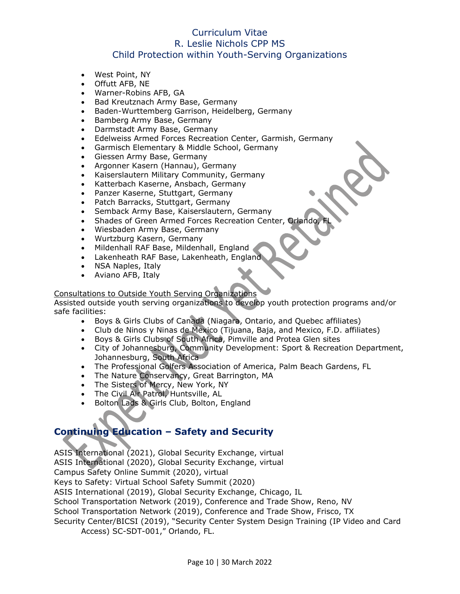- West Point, NY
- Offutt AFB, NE
- Warner-Robins AFB, GA
- Bad Kreutznach Army Base, Germany
- Baden-Wurttemberg Garrison, Heidelberg, Germany
- Bamberg Army Base, Germany
- Darmstadt Army Base, Germany
- Edelweiss Armed Forces Recreation Center, Garmish, Germany
- Garmisch Elementary & Middle School, Germany
- Giessen Army Base, Germany
- Argonner Kasern (Hannau), Germany
- Kaiserslautern Military Community, Germany
- Katterbach Kaserne, Ansbach, Germany
- Panzer Kaserne, Stuttgart, Germany
- Patch Barracks, Stuttgart, Germany
- Semback Army Base, Kaiserslautern, Germany
- Shades of Green Armed Forces Recreation Center, Orlando
- Wiesbaden Army Base, Germany
- Wurtzburg Kasern, Germany
- Mildenhall RAF Base, Mildenhall, England
- Lakenheath RAF Base, Lakenheath, England
- NSA Naples, Italy
- Aviano AFB, Italy

#### Consultations to Outside Youth Serving Organizations

Assisted outside youth serving organizations to develop youth protection programs and/or safe facilities:

- Boys & Girls Clubs of Canada (Niagara, Ontario, and Quebec affiliates)
- Club de Ninos y Ninas de Mexico (Tijuana, Baja, and Mexico, F.D. affiliates)
- Boys & Girls Clubs of South Africa, Pimville and Protea Glen sites
- City of Johannesburg, Community Development: Sport & Recreation Department, Johannesburg, South Africa
- The Professional Golfers Association of America, Palm Beach Gardens, FL
- The Nature Conservancy, Great Barrington, MA
- The Sisters of Mercy, New York, NY
- The Civil Air Patrol, Huntsville, AL
- Bolton Lads & Girls Club, Bolton, England

# **Continuing Education – Safety and Security**

ASIS International (2021), Global Security Exchange, virtual ASIS International (2020), Global Security Exchange, virtual Campus Safety Online Summit (2020), virtual Keys to Safety: Virtual School Safety Summit (2020) ASIS International (2019), Global Security Exchange, Chicago, IL School Transportation Network (2019), Conference and Trade Show, Reno, NV School Transportation Network (2019), Conference and Trade Show, Frisco, TX Security Center/BICSI (2019), "Security Center System Design Training (IP Video and Card Access) SC-SDT-001," Orlando, FL.